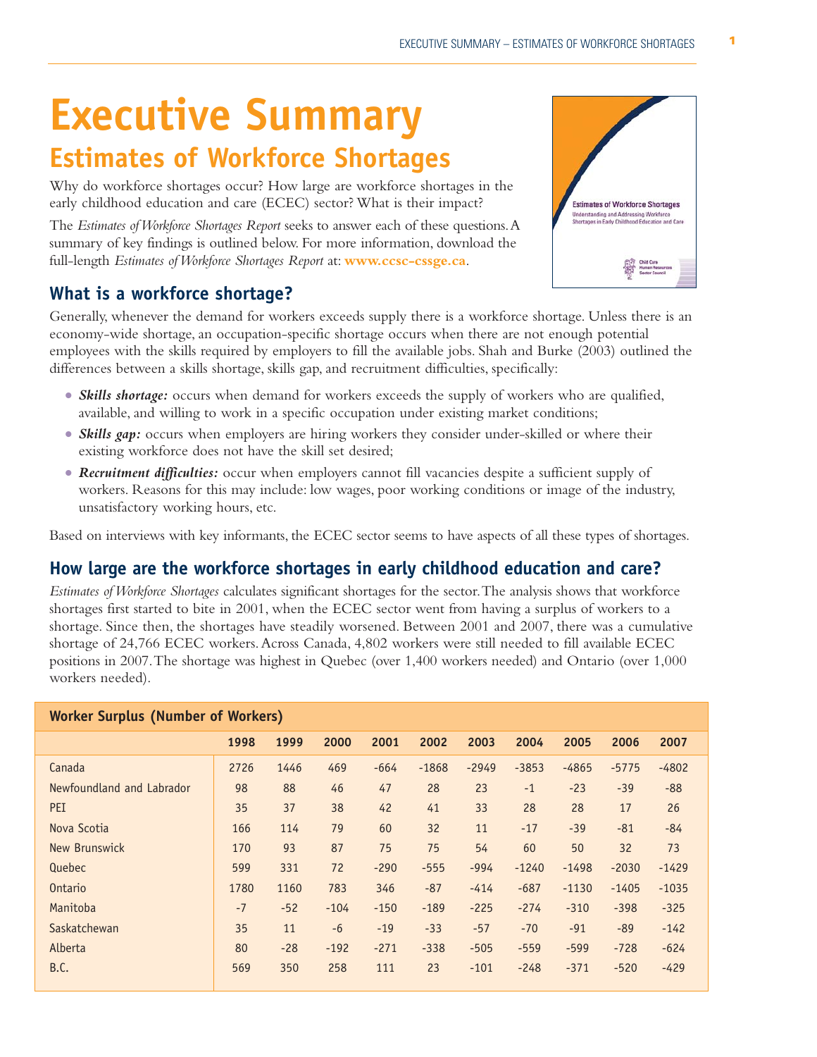# **Executive Summary**

# **Estimates of Workforce Shortages**

Why do workforce shortages occur? How large are workforce shortages in the early childhood education and care (ECEC) sector? What is their impact?

The *Estimates of Workforce Shortages Report* seeks to answer each of these questions.A summary of key findings is outlined below. For more information, download the full-length *Estimates of Workforce Shortages Report* at: **www.ccsc-cssge.ca**.

## **What is a workforce shortage?**

Generally, whenever the demand for workers exceeds supply there is a workforce shortage. Unless there is an economy-wide shortage, an occupation-specific shortage occurs when there are not enough potential employees with the skills required by employers to fill the available jobs. Shah and Burke (2003) outlined the differences between a skills shortage, skills gap, and recruitment difficulties, specifically:

- Skills shortage: occurs when demand for workers exceeds the supply of workers who are qualified, available, and willing to work in a specific occupation under existing market conditions;
- **Skills gap:** occurs when employers are hiring workers they consider under-skilled or where their existing workforce does not have the skill set desired;
- Recruitment difficulties: occur when employers cannot fill vacancies despite a sufficient supply of workers. Reasons for this may include: low wages, poor working conditions or image of the industry, unsatisfactory working hours, etc.

Based on interviews with key informants, the ECEC sector seems to have aspects of all these types of shortages.

## **How large are the workforce shortages in early childhood education and care?**

*Estimates of Workforce Shortages* calculates significant shortages for the sector.The analysis shows that workforce shortages first started to bite in 2001, when the ECEC sector went from having a surplus of workers to a shortage. Since then, the shortages have steadily worsened. Between 2001 and 2007, there was a cumulative shortage of 24,766 ECEC workers.Across Canada, 4,802 workers were still needed to fill available ECEC positions in 2007.The shortage was highest in Quebec (over 1,400 workers needed) and Ontario (over 1,000 workers needed).

| <b>Worker Surplus (Number of Workers)</b> |      |       |        |        |         |         |         |         |         |         |
|-------------------------------------------|------|-------|--------|--------|---------|---------|---------|---------|---------|---------|
|                                           | 1998 | 1999  | 2000   | 2001   | 2002    | 2003    | 2004    | 2005    | 2006    | 2007    |
| Canada                                    | 2726 | 1446  | 469    | $-664$ | $-1868$ | $-2949$ | $-3853$ | $-4865$ | $-5775$ | $-4802$ |
| Newfoundland and Labrador                 | 98   | 88    | 46     | 47     | 28      | 23      | $-1$    | $-23$   | $-39$   | $-88$   |
| <b>PEI</b>                                | 35   | 37    | 38     | 42     | 41      | 33      | 28      | 28      | 17      | 26      |
| Nova Scotia                               | 166  | 114   | 79     | 60     | 32      | 11      | $-17$   | $-39$   | $-81$   | $-84$   |
| New Brunswick                             | 170  | 93    | 87     | 75     | 75      | 54      | 60      | 50      | 32      | 73      |
| Quebec                                    | 599  | 331   | 72     | $-290$ | $-555$  | $-994$  | $-1240$ | $-1498$ | $-2030$ | $-1429$ |
| Ontario                                   | 1780 | 1160  | 783    | 346    | $-87$   | $-414$  | $-687$  | $-1130$ | $-1405$ | $-1035$ |
| Manitoba                                  | $-7$ | $-52$ | $-104$ | $-150$ | $-189$  | $-225$  | $-274$  | $-310$  | $-398$  | $-325$  |
| Saskatchewan                              | 35   | 11    | $-6$   | $-19$  | $-33$   | $-57$   | $-70$   | $-91$   | $-89$   | $-142$  |
| Alberta                                   | 80   | $-28$ | $-192$ | $-271$ | $-338$  | $-505$  | $-559$  | $-599$  | $-728$  | $-624$  |
| <b>B.C.</b>                               | 569  | 350   | 258    | 111    | 23      | $-101$  | $-248$  | $-371$  | $-520$  | $-429$  |

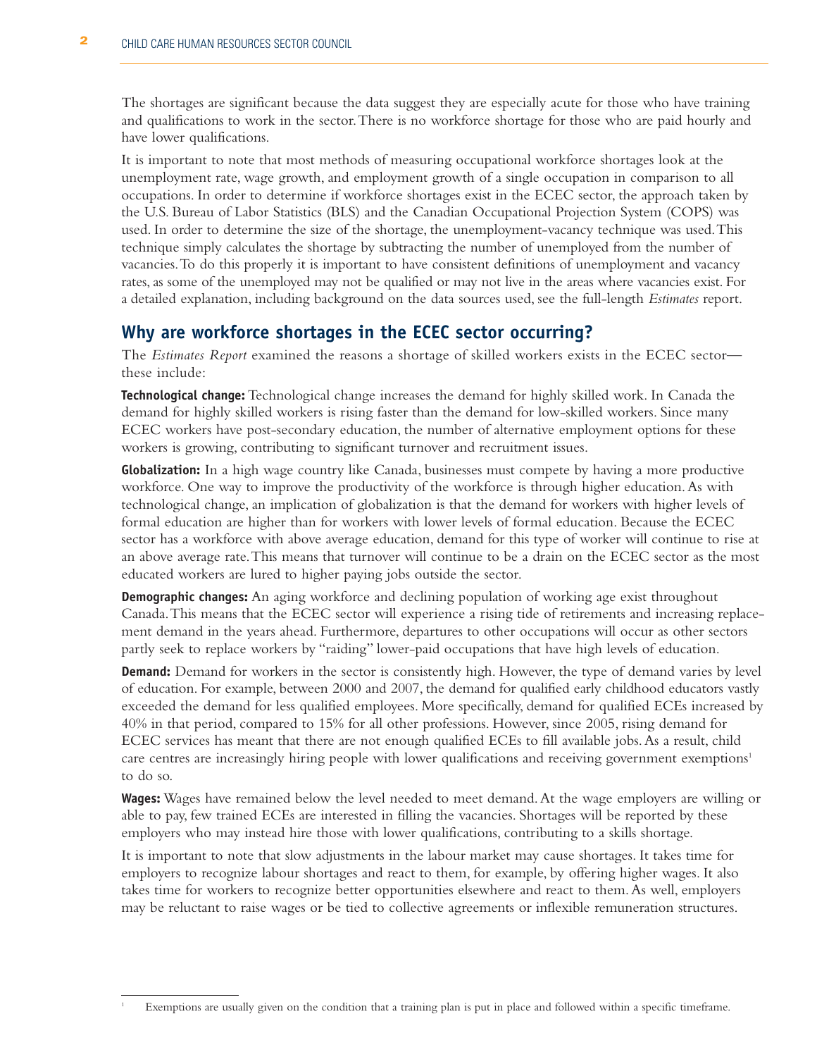The shortages are significant because the data suggest they are especially acute for those who have training and qualifications to work in the sector.There is no workforce shortage for those who are paid hourly and have lower qualifications.

It is important to note that most methods of measuring occupational workforce shortages look at the unemployment rate, wage growth, and employment growth of a single occupation in comparison to all occupations. In order to determine if workforce shortages exist in the ECEC sector, the approach taken by the U.S. Bureau of Labor Statistics (BLS) and the Canadian Occupational Projection System (COPS) was used. In order to determine the size of the shortage, the unemployment-vacancy technique was used.This technique simply calculates the shortage by subtracting the number of unemployed from the number of vacancies.To do this properly it is important to have consistent definitions of unemployment and vacancy rates, as some of the unemployed may not be qualified or may not live in the areas where vacancies exist. For a detailed explanation, including background on the data sources used, see the full-length *Estimates* report.

#### **Why are workforce shortages in the ECEC sector occurring?**

The *Estimates Report* examined the reasons a shortage of skilled workers exists in the ECEC sector these include:

**Technological change:** Technological change increases the demand for highly skilled work. In Canada the demand for highly skilled workers is rising faster than the demand for low-skilled workers. Since many ECEC workers have post-secondary education, the number of alternative employment options for these workers is growing, contributing to significant turnover and recruitment issues.

**Globalization:** In a high wage country like Canada, businesses must compete by having a more productive workforce. One way to improve the productivity of the workforce is through higher education.As with technological change, an implication of globalization is that the demand for workers with higher levels of formal education are higher than for workers with lower levels of formal education. Because the ECEC sector has a workforce with above average education, demand for this type of worker will continue to rise at an above average rate.This means that turnover will continue to be a drain on the ECEC sector as the most educated workers are lured to higher paying jobs outside the sector.

**Demographic changes:** An aging workforce and declining population of working age exist throughout Canada.This means that the ECEC sector will experience a rising tide of retirements and increasing replacement demand in the years ahead. Furthermore, departures to other occupations will occur as other sectors partly seek to replace workers by "raiding" lower-paid occupations that have high levels of education.

**Demand:** Demand for workers in the sector is consistently high. However, the type of demand varies by level of education. For example, between 2000 and 2007, the demand for qualified early childhood educators vastly exceeded the demand for less qualified employees. More specifically, demand for qualified ECEs increased by 40% in that period, compared to 15% for all other professions. However, since 2005, rising demand for ECEC services has meant that there are not enough qualified ECEs to fill available jobs.As a result, child care centres are increasingly hiring people with lower qualifications and receiving government exemptions<sup>1</sup> to do so.

**Wages:** Wages have remained below the level needed to meet demand.At the wage employers are willing or able to pay, few trained ECEs are interested in filling the vacancies. Shortages will be reported by these employers who may instead hire those with lower qualifications, contributing to a skills shortage.

It is important to note that slow adjustments in the labour market may cause shortages. It takes time for employers to recognize labour shortages and react to them, for example, by offering higher wages. It also takes time for workers to recognize better opportunities elsewhere and react to them.As well, employers may be reluctant to raise wages or be tied to collective agreements or inflexible remuneration structures.

Exemptions are usually given on the condition that a training plan is put in place and followed within a specific timeframe.